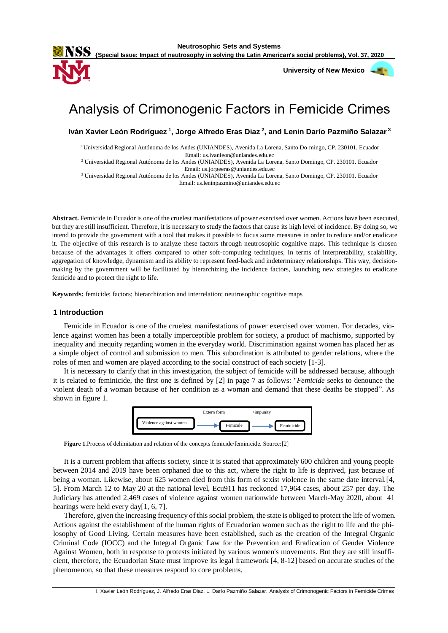**Neutrosophic Sets and Systems**



**University of New Mexico** 



# Analysis of Crimonogenic Factors in Femicide Crimes

**Iván Xavier León Rodríguez <sup>1</sup> , Jorge Alfredo Eras Diaz <sup>2</sup> , and Lenin Darío Pazmiño Salazar <sup>3</sup>**

<sup>1</sup> Universidad Regional Autónoma de los Andes (UNIANDES), Avenida La Lorena, Santo Do-mingo, CP. 230101. Ecuador Email: us.ivanleon@uniandes.edu.ec

<sup>2</sup> Universidad Regional Autónoma de los Andes (UNIANDES), Avenida La Lorena, Santo Domingo, CP. 230101. Ecuador Email: us.jorgeeras@uniandes.edu.ec

<sup>3</sup> Universidad Regional Autónoma de los Andes (UNIANDES), Avenida La Lorena, Santo Domingo, CP. 230101. Ecuador Email: us.leninpazmino@uniandes.edu.ec

**Abstract.** Femicide in Ecuador is one of the cruelest manifestations of power exercised over women. Actions have been executed, but they are still insufficient. Therefore, it is necessary to study the factors that cause its high level of incidence. By doing so, we intend to provide the government with a tool that makes it possible to focus some measures in order to reduce and/or eradicate it. The objective of this research is to analyze these factors through neutrosophic cognitive maps. This technique is chosen because of the advantages it offers compared to other soft-computing techniques, in terms of interpretability, scalability, aggregation of knowledge, dynamism and its ability to represent feed-back and indeterminacy relationships. This way, decisionmaking by the government will be facilitated by hierarchizing the incidence factors, launching new strategies to eradicate femicide and to protect the right to life.

**Keywords:** femicide; factors; hierarchization and interrelation; neutrosophic cognitive maps

#### **1 Introduction**

Femicide in Ecuador is one of the cruelest manifestations of power exercised over women. For decades, violence against women has been a totally imperceptible problem for society, a product of machismo, supported by inequality and inequity regarding women in the everyday world. Discrimination against women has placed her as a simple object of control and submission to men. This subordination is attributed to gender relations, where the roles of men and women are played according to the social construct of each society [\[1-3\]](#page-6-0).

It is necessary to clarify that in this investigation, the subject of femicide will be addressed because, although it is related to feminicide, the first one is defined by [\[2\]](#page-6-1) in page 7 as follows: "*Femicide* seeks to denounce the violent death of a woman because of her condition as a woman and demand that these deaths be stopped". As shown in figure 1.



**Figure 1.**Process of delimitation and relation of the concepts femicide/feminicide. Source:[\[2\]](#page-6-1)

It is a current problem that affects society, since it is stated that approximately 600 children and young people between 2014 and 2019 have been orphaned due to this act, where the right to life is deprived, just because of being a woman. Likewise, about 625 women died from this form of sexist violence in the same date interval.[\[4,](#page-6-2) [5\]](#page-6-3). From March 12 to May 20 at the national level, Ecu911 has reckoned 17,964 cases, about 257 per day. The Judiciary has attended 2,469 cases of violence against women nationwide between March-May 2020, about 41 hearings were held every day[\[1,](#page-6-0) [6,](#page-7-0) [7\]](#page-7-1).

Therefore, given the increasing frequency of this social problem, the state is obliged to protect the life of women. Actions against the establishment of the human rights of Ecuadorian women such as the right to life and the philosophy of Good Living. Certain measures have been established, such as the creation of the Integral Organic Criminal Code (IOCC) and the Integral Organic Law for the Prevention and Eradication of Gender Violence Against Women, both in response to protests initiated by various women's movements. But they are still insufficient, therefore, the Ecuadorian State must improve its legal framework [\[4,](#page-6-2) [8-12\]](#page-7-2) based on accurate studies of the phenomenon, so that these measures respond to core problems.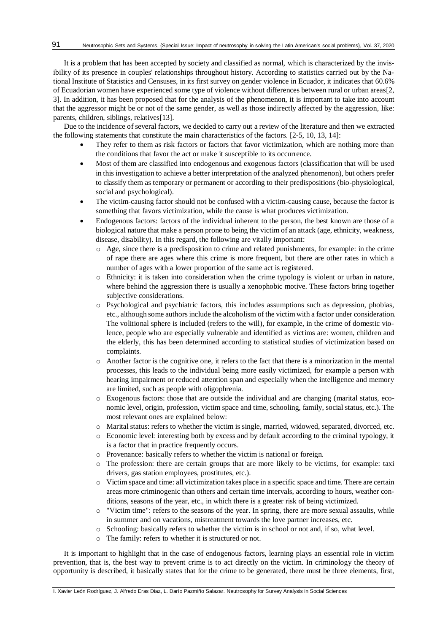It is a problem that has been accepted by society and classified as normal, which is characterized by the invisibility of its presence in couples' relationships throughout history. According to statistics carried out by the National Institute of Statistics and Censuses, in its first survey on gender violence in Ecuador, it indicates that 60.6% of Ecuadorian women have experienced some type of violence without differences between rural or urban areas[\[2,](#page-6-1) [3\]](#page-6-4). In addition, it has been proposed that for the analysis of the phenomenon, it is important to take into account that the aggressor might be or not of the same gender, as well as those indirectly affected by the aggression, like: parents, children, siblings, relatives[\[13\]](#page-7-3).

Due to the incidence of several factors, we decided to carry out a review of the literature and then we extracted the following statements that constitute the main characteristics of the factors. [\[2-5,](#page-6-1) [10,](#page-7-4) [13,](#page-7-3) [14\]](#page-7-5):

- They refer to them as risk factors or factors that favor victimization, which are nothing more than the conditions that favor the act or make it susceptible to its occurrence.
- Most of them are classified into endogenous and exogenous factors (classification that will be used in this investigation to achieve a better interpretation of the analyzed phenomenon), but others prefer to classify them as temporary or permanent or according to their predispositions (bio-physiological, social and psychological).
- The victim-causing factor should not be confused with a victim-causing cause, because the factor is something that favors victimization, while the cause is what produces victimization.
- Endogenous factors: factors of the individual inherent to the person, the best known are those of a biological nature that make a person prone to being the victim of an attack (age, ethnicity, weakness, disease, disability). In this regard, the following are vitally important:
	- o Age, since there is a predisposition to crime and related punishments, for example: in the crime of rape there are ages where this crime is more frequent, but there are other rates in which a number of ages with a lower proportion of the same act is registered.
	- o Ethnicity: it is taken into consideration when the crime typology is violent or urban in nature, where behind the aggression there is usually a xenophobic motive. These factors bring together subjective considerations.
	- o Psychological and psychiatric factors, this includes assumptions such as depression, phobias, etc., although some authors include the alcoholism of the victim with a factor under consideration. The volitional sphere is included (refers to the will), for example, in the crime of domestic violence, people who are especially vulnerable and identified as victims are: women, children and the elderly, this has been determined according to statistical studies of victimization based on complaints.
	- o Another factor is the cognitive one, it refers to the fact that there is a minorization in the mental processes, this leads to the individual being more easily victimized, for example a person with hearing impairment or reduced attention span and especially when the intelligence and memory are limited, such as people with oligophrenia.
	- o Exogenous factors: those that are outside the individual and are changing (marital status, economic level, origin, profession, victim space and time, schooling, family, social status, etc.). The most relevant ones are explained below:
	- o Marital status: refers to whether the victim is single, married, widowed, separated, divorced, etc.
	- o Economic level: interesting both by excess and by default according to the criminal typology, it is a factor that in practice frequently occurs.
	- o Provenance: basically refers to whether the victim is national or foreign.
	- o The profession: there are certain groups that are more likely to be victims, for example: taxi drivers, gas station employees, prostitutes, etc.).
	- o Victim space and time: all victimization takes place in a specific space and time. There are certain areas more criminogenic than others and certain time intervals, according to hours, weather conditions, seasons of the year, etc., in which there is a greater risk of being victimized.
	- o "Victim time": refers to the seasons of the year. In spring, there are more sexual assaults, while in summer and on vacations, mistreatment towards the love partner increases, etc.
	- o Schooling: basically refers to whether the victim is in school or not and, if so, what level.
	- o The family: refers to whether it is structured or not.

It is important to highlight that in the case of endogenous factors, learning plays an essential role in victim prevention, that is, the best way to prevent crime is to act directly on the victim. In criminology the theory of opportunity is described, it basically states that for the crime to be generated, there must be three elements, first,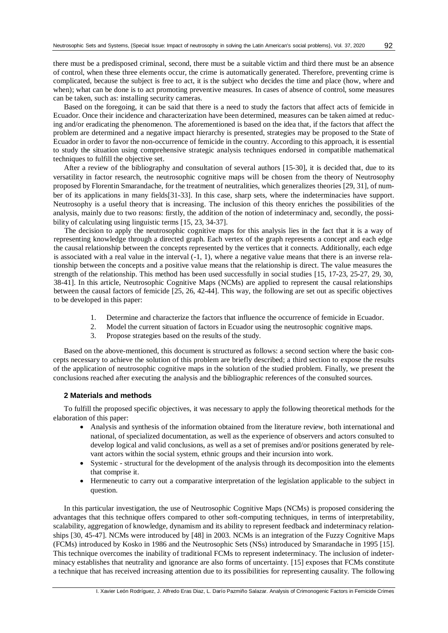there must be a predisposed criminal, second, there must be a suitable victim and third there must be an absence of control, when these three elements occur, the crime is automatically generated. Therefore, preventing crime is complicated, because the subject is free to act, it is the subject who decides the time and place (how, where and when); what can be done is to act promoting preventive measures. In cases of absence of control, some measures can be taken, such as: installing security cameras.

Based on the foregoing, it can be said that there is a need to study the factors that affect acts of femicide in Ecuador. Once their incidence and characterization have been determined, measures can be taken aimed at reducing and/or eradicating the phenomenon. The aforementioned is based on the idea that, if the factors that affect the problem are determined and a negative impact hierarchy is presented, strategies may be proposed to the State of Ecuador in order to favor the non-occurrence of femicide in the country. According to this approach, it is essential to study the situation using comprehensive strategic analysis techniques endorsed in compatible mathematical techniques to fulfill the objective set.

After a review of the bibliography and consultation of several authors [\[15-30\]](#page-7-6), it is decided that, due to its versatility in factor research, the neutrosophic cognitive maps will be chosen from the theory of Neutrosophy proposed by Florentin Smarandache, for the treatment of neutralities, which generalizes theories [\[29,](#page-7-7) [31\]](#page-7-8), of number of its applications in many fields[\[31-33\]](#page-7-8). In this case, sharp sets, where the indeterminacies have support. Neutrosophy is a useful theory that is increasing. The inclusion of this theory enriches the possibilities of the analysis, mainly due to two reasons: firstly, the addition of the notion of indeterminacy and, secondly, the possibility of calculating using linguistic terms [\[15,](#page-7-6) [23,](#page-7-9) [34-37\]](#page-7-10).

The decision to apply the neutrosophic cognitive maps for this analysis lies in the fact that it is a way of representing knowledge through a directed graph. Each vertex of the graph represents a concept and each edge the causal relationship between the concepts represented by the vertices that it connects. Additionally, each edge is associated with a real value in the interval  $(-1, 1)$ , where a negative value means that there is an inverse relationship between the concepts and a positive value means that the relationship is direct. The value measures the strength of the relationship. This method has been used successfully in social studies [\[15,](#page-7-6) [17-23,](#page-7-11) [25-27,](#page-7-12) [29,](#page-7-7) [30,](#page-7-13) [38-41\]](#page-8-0). In this article, Neutrosophic Cognitive Maps (NCMs) are applied to represent the causal relationships between the causal factors of femicide [\[25,](#page-7-12) [26,](#page-7-14) [42-44\]](#page-8-1). This way, the following are set out as specific objectives to be developed in this paper:

- 1. Determine and characterize the factors that influence the occurrence of femicide in Ecuador.
- 2. Model the current situation of factors in Ecuador using the neutrosophic cognitive maps.
- 3. Propose strategies based on the results of the study.

Based on the above-mentioned, this document is structured as follows: a second section where the basic concepts necessary to achieve the solution of this problem are briefly described; a third section to expose the results of the application of neutrosophic cognitive maps in the solution of the studied problem. Finally, we present the conclusions reached after executing the analysis and the bibliographic references of the consulted sources.

### **2 Materials and methods**

To fulfill the proposed specific objectives, it was necessary to apply the following theoretical methods for the elaboration of this paper:

- Analysis and synthesis of the information obtained from the literature review, both international and national, of specialized documentation, as well as the experience of observers and actors consulted to develop logical and valid conclusions, as well as a set of premises and/or positions generated by relevant actors within the social system, ethnic groups and their incursion into work.
- Systemic structural for the development of the analysis through its decomposition into the elements that comprise it.
- Hermeneutic to carry out a comparative interpretation of the legislation applicable to the subject in question.

In this particular investigation, the use of Neutrosophic Cognitive Maps (NCMs) is proposed considering the advantages that this technique offers compared to other soft-computing techniques, in terms of interpretability, scalability, aggregation of knowledge, dynamism and its ability to represent feedback and indeterminacy relationships [\[30,](#page-7-13) [45-47\]](#page-8-2). NCMs were introduced by [\[48\]](#page-8-3) in 2003. NCMs is an integration of the Fuzzy Cognitive Maps (FCMs) introduced by Kosko in 1986 and the Neutrosophic Sets (NSs) introduced by Smarandache in 1995 [\[15\]](#page-7-6). This technique overcomes the inability of traditional FCMs to represent indeterminacy. The inclusion of indeterminacy establishes that neutrality and ignorance are also forms of uncertainty. [\[15\]](#page-7-6) exposes that FCMs constitute a technique that has received increasing attention due to its possibilities for representing causality. The following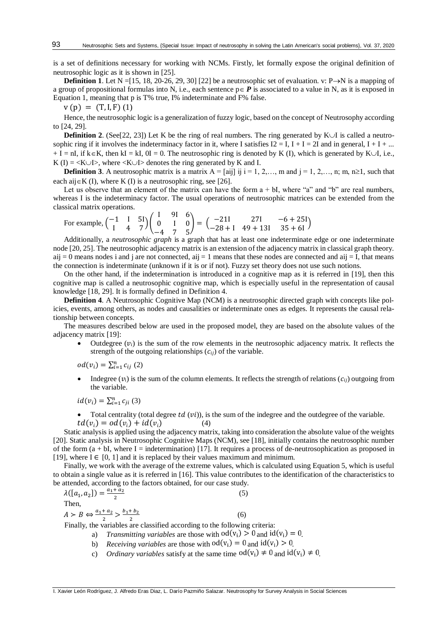is a set of definitions necessary for working with NCMs. Firstly, let formally expose the original definition of neutrosophic logic as it is shown in [\[25\]](#page-7-12).

**Definition 1.** Let  $N = [15, 18, 20-26, 29, 30]$  $N = [15, 18, 20-26, 29, 30]$  $N = [15, 18, 20-26, 29, 30]$  $N = [15, 18, 20-26, 29, 30]$  $N = [15, 18, 20-26, 29, 30]$  $N = [15, 18, 20-26, 29, 30]$  [\[22\]](#page-7-17) be a neutrosophic set of evaluation. v: P $\rightarrow$ N is a mapping of a group of propositional formulas into N, i.e., each sentence  $p \in P$  is associated to a value in N, as it is exposed in Equation 1, meaning that p is T% true, I% indeterminate and F% false.

 $v(p) = (T, I, F)$  (1)

Hence, the neutrosophic logic is a generalization of fuzzy logic, based on the concept of Neutrosophy according to [\[24,](#page-7-18) [29\]](#page-7-7).

**Definition 2**. (See[\[22,](#page-7-17) [23\]](#page-7-9)) Let K be the ring of real numbers. The ring generated by  $K \cup I$  is called a neutrosophic ring if it involves the indeterminacy factor in it, where I satisfies  $I2 = I$ ,  $I + I = 2I$  and in general,  $I + I + ...$  $+ I = nI$ , if  $k \in K$ , then kI = kI, 0I = 0. The neutrosophic ring is denoted by K (I), which is generated by K $\cup I$ , i.e., K (I) =  $\langle K \cup I \rangle$ , where  $\langle K \cup I \rangle$  denotes the ring generated by K and I.

**Definition 3**. A neutrosophic matrix is a matrix  $A = [ai]$  ij  $i = 1, 2, \ldots, m$  and  $j = 1, 2, \ldots, n$ ; m,  $n \ge 1$ , such that each aij $\in$ K (I), where K (I) is a neutrosophic ring, see [\[26\]](#page-7-14).

Let us observe that an element of the matrix can have the form  $a + bI$ , where "a" and "b" are real numbers, whereas I is the indeterminacy factor. The usual operations of neutrosophic matrices can be extended from the classical matrix operations.

For example,  $\begin{pmatrix} -1 & 1 & 5 \ 1 & 4 & 7 \end{pmatrix}$  $\begin{bmatrix} 1 & 1 & 31 \\ 4 & 7 \end{bmatrix}$ I 9I 6 0 I 0 −4 7 5  $= \begin{pmatrix} -211 & 271 & -6 + 251 \\ -28 + 1 & 49 + 131 & 35 + 61 \end{pmatrix}$ 

Additionally, a *neutrosophic graph* is a graph that has at least one indeterminate edge or one indeterminate node [\[20,](#page-7-16) [25\]](#page-7-12). The neutrosophic adjacency matrix is an extension of the adjacency matrix in classical graph theory. aij = 0 means nodes i and j are not connected, aij = 1 means that these nodes are connected and aij = I, that means the connection is indeterminate (unknown if it is or if not). Fuzzy set theory does not use such notions.

On the other hand, if the indetermination is introduced in a cognitive map as it is referred in [\[19\]](#page-7-19), then this cognitive map is called a neutrosophic cognitive map, which is especially useful in the representation of causal knowledge [\[18,](#page-7-15) [29\]](#page-7-7). It is formally defined in Definition 4.

**Definition 4**. A Neutrosophic Cognitive Map (NCM) is a neutrosophic directed graph with concepts like policies, events, among others, as nodes and causalities or indeterminate ones as edges. It represents the causal relationship between concepts.

The measures described below are used in the proposed model, they are based on the absolute values of the adjacency matrix [\[19\]](#page-7-19):

Outdegree  $(v_i)$  is the sum of the row elements in the neutrosophic adjacency matrix. It reflects the strength of the outgoing relationships  $(c_{ij})$  of the variable.

 $od(v_i) = \sum_{i=1}^{n} c_{ij} (2)$ 

Indegree  $(v_i)$  is the sum of the column elements. It reflects the strength of relations  $(c_{ij})$  outgoing from the variable.

 $id(v_i) = \sum_{i=1}^{n} c_{ji}$  (3)

• Total centrality (total degree  $td(vi)$ ), is the sum of the indegree and the outdegree of the variable.  $td(v_i) = od(v_i) + id(v_i)$  (4)

Static analysis is applied using the adjacency matrix, taking into consideration the absolute value of the weights [\[20\]](#page-7-16). Static analysis in Neutrosophic Cognitive Maps (NCM), see [\[18\]](#page-7-15), initially contains the neutrosophic number of the form  $(a + bI)$ , where I = indetermination) [\[17\]](#page-7-11). It requires a process of de-neutrosophication as proposed in [\[19\]](#page-7-19), where  $I \in [0, 1]$  and it is replaced by their values maximum and minimum.

Finally, we work with the average of the extreme values, which is calculated using Equation 5, which is useful to obtain a single value as it is referred in [\[16\]](#page-7-20). This value contributes to the identification of the characteristics to be attended, according to the factors obtained, for our case study.

 $\lambda([a_1, a_2]) = \frac{a_1 + a_2}{2}$ 2  $(5)$ Then,  $A > B \Leftrightarrow \frac{a_1 + a_2}{2}$  $\frac{+a_2}{2} > \frac{b_1 + b_2}{2}$ 2 (6)

Finally, the variables are classified according to the following criteria:

- a) *Transmitting variables* are those with  $od(v_i) > 0$  and  $id(v_i) = 0$ .
- b) *Receiving variables* are those with  $od(v_i) = 0$  and  $id(v_i) > 0$ .
- c) *Ordinary variables* satisfy at the same time  $od(v_i) \neq 0$  and  $id(v_i) \neq 0$ .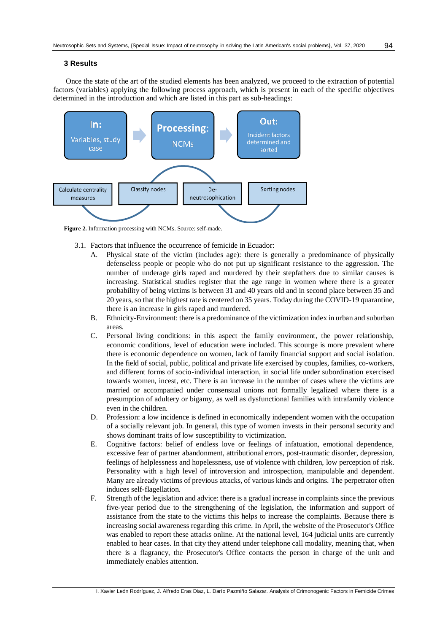#### **3 Results**

Once the state of the art of the studied elements has been analyzed, we proceed to the extraction of potential factors (variables) applying the following process approach, which is present in each of the specific objectives determined in the introduction and which are listed in this part as sub-headings:



**Figure 2.** Information processing with NCMs. Source: self-made.

- 3.1. Factors that influence the occurrence of femicide in Ecuador:
	- A. Physical state of the victim (includes age): there is generally a predominance of physically defenseless people or people who do not put up significant resistance to the aggression. The number of underage girls raped and murdered by their stepfathers due to similar causes is increasing. Statistical studies register that the age range in women where there is a greater probability of being victims is between 31 and 40 years old and in second place between 35 and 20 years, so that the highest rate is centered on 35 years. Today during the COVID-19 quarantine, there is an increase in girls raped and murdered.
	- B. Ethnicity-Environment: there is a predominance of the victimization index in urban and suburban areas.
	- C. Personal living conditions: in this aspect the family environment, the power relationship, economic conditions, level of education were included. This scourge is more prevalent where there is economic dependence on women, lack of family financial support and social isolation. In the field of social, public, political and private life exercised by couples, families, co-workers, and different forms of socio-individual interaction, in social life under subordination exercised towards women, incest, etc. There is an increase in the number of cases where the victims are married or accompanied under consensual unions not formally legalized where there is a presumption of adultery or bigamy, as well as dysfunctional families with intrafamily violence even in the children.
	- D. Profession: a low incidence is defined in economically independent women with the occupation of a socially relevant job. In general, this type of women invests in their personal security and shows dominant traits of low susceptibility to victimization.
	- E. Cognitive factors: belief of endless love or feelings of infatuation, emotional dependence, excessive fear of partner abandonment, attributional errors, post-traumatic disorder, depression, feelings of helplessness and hopelessness, use of violence with children, low perception of risk. Personality with a high level of introversion and introspection, manipulable and dependent. Many are already victims of previous attacks, of various kinds and origins. The perpetrator often induces self-flagellation.
	- F. Strength of the legislation and advice: there is a gradual increase in complaints since the previous five-year period due to the strengthening of the legislation, the information and support of assistance from the state to the victims this helps to increase the complaints. Because there is increasing social awareness regarding this crime. In April, the website of the Prosecutor's Office was enabled to report these attacks online. At the national level, 164 judicial units are currently enabled to hear cases. In that city they attend under telephone call modality, meaning that, when there is a flagrancy, the Prosecutor's Office contacts the person in charge of the unit and immediately enables attention.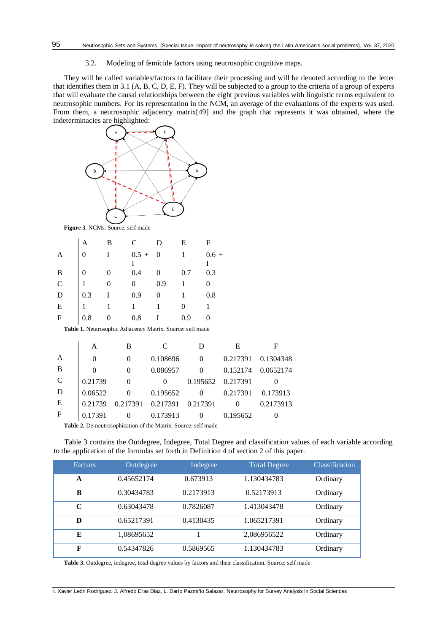3.2. Modeling of femicide factors using neutrosophic cognitive maps.

They will be called variables/factors to facilitate their processing and will be denoted according to the letter that identifies them in 3.1 (A, B, C, D, E, F). They will be subjected to a group to the criteria of a group of experts that will evaluate the causal relationships between the eight previous variables with linguistic terms equivalent to neutrosophic numbers. For its representation in the NCM, an average of the evaluations of the experts was used. From them, a neutrosophic adjacency matrix[\[49\]](#page-8-4) and the graph that represents it was obtained, where the indeterminacies are highlighted:



**Figure 3.** NCMs. Source: self made

|               | Α   | B | $\mathsf{C}$ | D              | Е   | F       |
|---------------|-----|---|--------------|----------------|-----|---------|
|               |     |   | $0.5 +$      | $\overline{0}$ |     | $0.6 +$ |
|               |     |   |              |                |     |         |
| B             |     |   | 0.4          |                | 0.7 | 0.3     |
| $\mathcal{C}$ |     |   |              | 0.9            |     |         |
| D             | 0.3 |   | 0.9          |                |     | 0.8     |
| Ε             |     |   |              |                |     |         |
| F             | 0.8 |   | 0.8          |                | 0.9 |         |

**Table 1.** Neutrosophic Adjacency Matrix. Source: self made

|               | A        | B        | C        |                   | E        | F         |
|---------------|----------|----------|----------|-------------------|----------|-----------|
| A             | $\theta$ |          | 0.108696 |                   | 0.217391 | 0.1304348 |
| B             | 0        |          | 0.086957 | 0                 | 0.152174 | 0.0652174 |
| $\mathcal{C}$ | 0.21739  | $\Omega$ | $\Omega$ | 0.195652 0.217391 |          |           |
| D             | 0.06522  |          | 0.195652 | 0                 | 0.217391 | 0.173913  |
| E             | 0.21739  | 0.217391 | 0.217391 | 0.217391          |          | 0.2173913 |
| $\mathbf F$   | 0.17391  | $\theta$ | 0.173913 | $\Omega$          | 0.195652 |           |

**Table 2.** De-neutrosophication of the Matrix. Source: self made

Table 3 contains the Outdegree, Indegree, Total Degree and classification values of each variable according to the application of the formulas set forth in Definition 4 of section 2 of this paper.

| <b>Factors</b> | Outdegree  | Indegree  | <b>Total Degree</b> | Classification |
|----------------|------------|-----------|---------------------|----------------|
| A              | 0.45652174 | 0.673913  | 1.130434783         | Ordinary       |
| B              | 0.30434783 | 0.2173913 | 0.52173913          | Ordinary       |
| C              | 0.63043478 | 0.7826087 | 1.413043478         | Ordinary       |
| D              | 0.65217391 | 0.4130435 | 1.065217391         | Ordinary       |
| E              | 1,08695652 |           | 2,086956522         | Ordinary       |
| F              | 0.54347826 | 0.5869565 | 1.130434783         | Ordinary       |

**Table 3.** Outdegree, indegree, total degree values by factors and their classification. Source: self made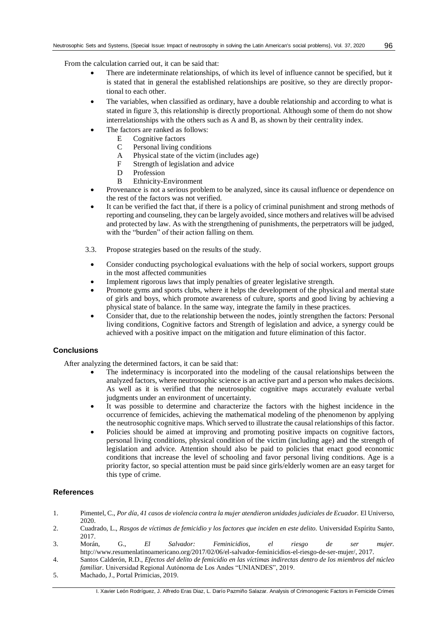From the calculation carried out, it can be said that:

- There are indeterminate relationships, of which its level of influence cannot be specified, but it is stated that in general the established relationships are positive, so they are directly proportional to each other.
- The variables, when classified as ordinary, have a double relationship and according to what is stated in figure 3, this relationship is directly proportional. Although some of them do not show interrelationships with the others such as A and B, as shown by their centrality index.
	- The factors are ranked as follows:
		- E Cognitive factors<br>C Personal living co
		- C Personal living conditions<br>A Physical state of the victim
		- A Physical state of the victim (includes age)<br>F Strength of legislation and advice
		- Strength of legislation and advice
		- D Profession
		- B Ethnicity-Environment
- Provenance is not a serious problem to be analyzed, since its causal influence or dependence on the rest of the factors was not verified.
- It can be verified the fact that, if there is a policy of criminal punishment and strong methods of reporting and counseling, they can be largely avoided, since mothers and relatives will be advised and protected by law. As with the strengthening of punishments, the perpetrators will be judged, with the "burden" of their action falling on them.
- 3.3. Propose strategies based on the results of the study.
	- Consider conducting psychological evaluations with the help of social workers, support groups in the most affected communities
	- Implement rigorous laws that imply penalties of greater legislative strength.
- Promote gyms and sports clubs, where it helps the development of the physical and mental state of girls and boys, which promote awareness of culture, sports and good living by achieving a physical state of balance. In the same way, integrate the family in these practices.
- Consider that, due to the relationship between the nodes, jointly strengthen the factors: Personal living conditions, Cognitive factors and Strength of legislation and advice, a synergy could be achieved with a positive impact on the mitigation and future elimination of this factor.

# **Conclusions**

After analyzing the determined factors, it can be said that:

- The indeterminacy is incorporated into the modeling of the causal relationships between the analyzed factors, where neutrosophic science is an active part and a person who makes decisions. As well as it is verified that the neutrosophic cognitive maps accurately evaluate verbal judgments under an environment of uncertainty.
- It was possible to determine and characterize the factors with the highest incidence in the occurrence of femicides, achieving the mathematical modeling of the phenomenon by applying the neutrosophic cognitive maps. Which served to illustrate the causal relationships of this factor.
- Policies should be aimed at improving and promoting positive impacts on cognitive factors, personal living conditions, physical condition of the victim (including age) and the strength of legislation and advice. Attention should also be paid to policies that enact good economic conditions that increase the level of schooling and favor personal living conditions. Age is a priority factor, so special attention must be paid since girls/elderly women are an easy target for this type of crime.

## **References**

- <span id="page-6-0"></span>1. Pimentel, C., *Por día, 41 casos de violencia contra la mujer atendieron unidades judiciales de Ecuador.* El Universo, 2020.
- <span id="page-6-1"></span>2. Cuadrado, L., *Rasgos de víctimas de femicidio y los factores que inciden en este delito.* Universidad Espíritu Santo, 2017.
- <span id="page-6-4"></span>3. Morán, G., *El Salvador: Feminicidios, el riesgo de ser mujer.* http://www.resumenlatinoamericano.org/2017/02/06/el-salvador-feminicidios-el-riesgo-de-ser-mujer/, 2017.
- <span id="page-6-2"></span>4. Santos Calderón, R.D., *Efectos del delito de femicidio en las víctimas indirectas dentro de los miembros del núcleo familiar.* Universidad Regional Autónoma de Los Andes "UNIANDES", 2019.
- <span id="page-6-3"></span>5. Machado, J., Portal Primicias, 2019.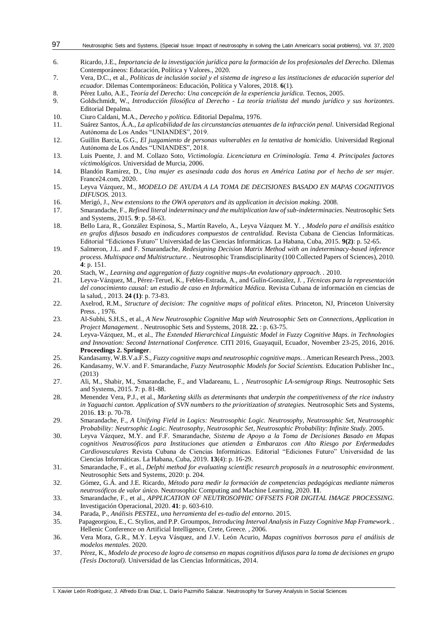#### Neutrosophic Sets and Systems, {Special Issue: Impact of neutrosophy in solving the Latin American's social problems}, Vol. 37, 2020 97

- <span id="page-7-0"></span>6. Ricardo, J.E., *Importancia de la investigación jurídica para la formación de los profesionales del Derecho.* Dilemas Contemporáneos: Educación, Política y Valores., 2020.
- <span id="page-7-1"></span>7. Vera, D.C., et al., *Políticas de inclusión social y el sistema de ingreso a las instituciones de educación superior del ecuador.* Dilemas Contemporáneos: Educación, Política y Valores, 2018. **6**(1).
- <span id="page-7-2"></span>8. Pérez Luño, A.E., *Teoría del Derecho: Una concepción de la experiencia jurídica.* Tecnos, 2005.
- 9. Goldschmidt, W., *Introducción filosófica al Derecho - La teoría trialista del mundo jurídico y sus horizontes.* Editorial Depalma.
- <span id="page-7-4"></span>10. Ciuro Caldani, M.A., *Derecho y política.* Editorial Depalma, 1976.
- 11. Suárez Santos, Á.A., *La aplicabilidad de las circunstancias atenuantes de la infracción penal.* Universidad Regional Autónoma de Los Andes "UNIANDES", 2019.
- 12. Guillin Barcia, G.G., *El juzgamiento de personas vulnerables en la tentativa de homicidio.* Universidad Regional Autónoma de Los Andes "UNIANDES", 2018.
- <span id="page-7-3"></span>13. Luis Puente, J. and M. Collazo Soto, *Victimología. Licenciatura en Criminología. Tema 4. Principales factores víctimológicos.* Universidad de Murcia, 2006.
- <span id="page-7-5"></span>14. Blandón Ramirez, D., *Una mujer es asesinada cada dos horas en América Latina por el hecho de ser mujer.* France24.com, 2020.
- <span id="page-7-6"></span>15. Leyva Vázquez, M., *MODELO DE AYUDA A LA TOMA DE DECISIONES BASADO EN MAPAS COGNITIVOS DIFUSOS.* 2013.
- <span id="page-7-20"></span>16. Merigó, J., *New extensions to the OWA operators and its application in decision making.* 2008.
- <span id="page-7-11"></span>17. Smarandache, F., *Refined literal indeterminacy and the multiplication law of sub-indeterminacies.* Neutrosophic Sets and Systems, 2015. **9**: p. 58-63.
- <span id="page-7-15"></span>18. Bello Lara, R., González Espinosa, S., Martín Ravelo, A., Leyva Vázquez M. Y. , *Modelo para el análisis estático en grafos difusos basado en indicadores compuestos de centralidad.* Revista Cubana de Ciencias Informáticas. Editorial "Ediciones Futuro" Universidad de las Ciencias Informáticas. La Habana, Cuba, 2015. **9(2)**: p. 52-65.
- <span id="page-7-19"></span>19. Salmeron, J.L. and F. Smarandache, *Redesigning Decision Matrix Method with an indeterminacy-based inference process. Multispace and Multistructure. .* Neutrosophic Transdisciplinarity (100 Collected Papers of Sciences), 2010. **4**: p. 151.
- <span id="page-7-16"></span>20. Stach, W., *Learning and aggregation of fuzzy cognitive maps-An evolutionary approach. .* 2010.
- 21. Leyva-Vázquez, M., Pérez-Teruel, K., Febles-Estrada, A., and Gulín-González, J. , *Técnicas para la representación del conocimiento causal: un estudio de caso en Informática Médica.* Revista Cubana de información en ciencias de la salud, , 2013. **24 (1)**: p. 73-83.
- <span id="page-7-17"></span>22. Axelrod, R.M., *Structure of decision: The cognitive maps of political elites.* Princeton, NJ, Princeton University Press. , 1976.
- <span id="page-7-9"></span>23. Al-Subhi, S.H.S., et al., *A New Neutrosophic Cognitive Map with Neutrosophic Sets on Connections, Application in Project Management. .* Neutrosophic Sets and Systems, 2018. **22.** : p. 63-75.
- <span id="page-7-18"></span>24. Leyva-Vázquez, M., et al., *The Extended Hierarchical Linguistic Model in Fuzzy Cognitive Maps. in Technologies and Innovation: Second International Conference.* CITI 2016, Guayaquil, Ecuador, November 23-25, 2016, 2016. **Proceedings 2. Springer**.
- <span id="page-7-12"></span>25. Kandasamy, W.B.V.a.F.S., *Fuzzy cognitive maps and neutrosophic cognitive maps. .* American Research Press., 2003.
- <span id="page-7-14"></span>26. Kandasamy, W.V. and F. Smarandache, *Fuzzy Neutrosophic Models for Social Scientists.* Education Publisher Inc., (2013)
- 27. Ali, M., Shabir, M., Smarandache, F., and Vladareanu, L. , *Neutrosophic LA-semigroup Rings.* Neutrosophic Sets and Systems, 2015. **7**: p. 81-88.
- 28. Menendez Vera, P.J., et al., *Marketing skills as determinants that underpin the competitiveness of the rice industry in Yaguachi canton. Application of SVN numbers to the prioritization of strategies.* Neutrosophic Sets and Systems, 2016. **13**: p. 70-78.
- <span id="page-7-7"></span>29. Smarandache, F., *A Unifying Field in Logics: Neutrosophic Logic. Neutrosophy, Neutrosophic Set, Neutrosophic Probability: Neutrsophic Logic. Neutrosophy, Neutrosophic Set, Neutrosophic Probability: Infinite Study.* 2005.
- <span id="page-7-13"></span>30. Leyva Vázquez, M.Y. and F.F. Smarandache, *Sistema de Apoyo a la Toma de Decisiones Basado en Mapas cognitivos Neutrosóficos para Instituciones que atienden a Embarazos con Alto Riesgo por Enfermedades Cardiovasculares* Revista Cubana de Ciencias Informáticas. Editorial "Ediciones Futuro" Universidad de las Ciencias Informáticas. La Habana, Cuba, 2019. **13**(4): p. 16-29.
- <span id="page-7-8"></span>31. Smarandache, F., et al., *Delphi method for evaluating scientific research proposals in a neutrosophic environment.* Neutrosophic Sets and Systems, 2020: p. 204.
- 32. Gómez, G.Á. and J.E. Ricardo, *Método para medir la formación de competencias pedagógicas mediante números neutrosóficos de valor único.* Neutrosophic Computing and Machine Learning, 2020. **11**.
- 33. Smarandache, F., et al., *APPLICATION OF NEUTROSOPHIC OFFSETS FOR DIGITAL IMAGE PROCESSING.* Investigación Operacional, 2020. **41**: p. 603-610.
- <span id="page-7-10"></span>34. Parada, P., *Análisis PESTEL, una herramienta del es-tudio del entorno.* 2015.
- 35. Papageorgiou, E., C. Stylios, and P.P. Groumpos, *Introducing Interval Analysis in Fuzzy Cognitive Map Framework. .* Hellenic Conference on Artificial Intelligence, Crete, Greece. , 2006.
- 36. Vera Mora, G.R., M.Y. Leyva Vásquez, and J.V. León Acurio, *Mapas cognitivos borrosos para el análisis de modelos mentales.* 2020.
- 37. Pérez, K., *Modelo de proceso de logro de consenso en mapas cognitivos difusos para la toma de decisiones en grupo (Tesis Doctoral).* Universidad de las Ciencias Informáticas, 2014.